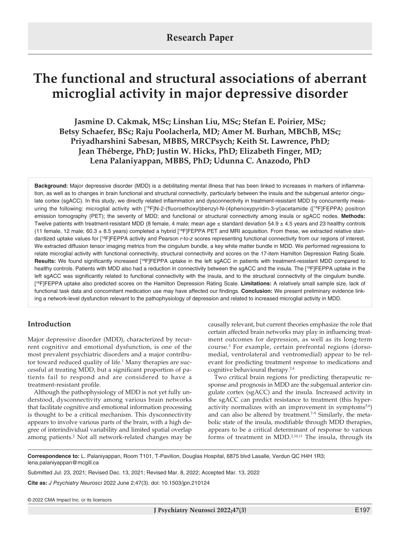# **The functional and structural associations of aberrant microglial activity in major depressive disorder**

**Jasmine D. Cakmak, MSc; Linshan Liu, MSc; Stefan E. Poirier, MSc; Betsy Schaefer, BSc; Raju Poolacherla, MD; Amer M. Burhan, MBChB, MSc; Priyadharshini Sabesan, MBBS, MRCPsych; Keith St. Lawrence, PhD; Jean Théberge, PhD; Justin W. Hicks, PhD; Elizabeth Finger, MD; Lena Palaniyappan, MBBS, PhD; Udunna C. Anazodo, PhD**

**Background:** Major depressive disorder (MDD) is a debilitating mental illness that has been linked to increases in markers of inflammation, as well as to changes in brain functional and structural connectivity, particularly between the insula and the subgenual anterior cingulate cortex (sgACC). In this study, we directly related inflammation and dysconnectivity in treatment-resistant MDD by concurrently measuring the following: microglial activity with [<sup>18</sup>F]N-2-(fluoroethoxyl)benzyl-N-(4phenoxypyridin-3-yl)acetamide ([<sup>18</sup>F]FEPPA) positron emission tomography (PET); the severity of MDD; and functional or structural connectivity among insula or sgACC nodes. **Methods:**  Twelve patients with treatment-resistant MDD (8 female, 4 male; mean age ± standard deviation 54.9 ± 4.5 years and 23 healthy controls (11 female, 12 male; 60.3  $\pm$  8.5 years) completed a hybrid [<sup>18</sup>F]FEPPA PET and MRI acquisition. From these, we extracted relative standardized uptake values for [18F]FEPPA activity and Pearson *r*-to-*z* scores representing functional connectivity from our regions of interest. We extracted diffusion tensor imaging metrics from the cingulum bundle, a key white matter bundle in MDD. We performed regressions to relate microglial activity with functional connectivity, structural connectivity and scores on the 17-item Hamilton Depression Rating Scale. **Results:** We found significantly increased [18F]FEPPA uptake in the left sgACC in patients with treatment-resistant MDD compared to healthy controls. Patients with MDD also had a reduction in connectivity between the sgACC and the insula. The [18F]FEPPA uptake in the left sgACC was significantly related to functional connectivity with the insula, and to the structural connectivity of the cingulum bundle. [ 18F]FEPPA uptake also predicted scores on the Hamilton Depression Rating Scale. **Limitations:** A relatively small sample size, lack of functional task data and concomitant medication use may have affected our findings. **Conclusion:** We present preliminary evidence linking a network-level dysfunction relevant to the pathophysiology of depression and related to increased microglial activity in MDD.

# **Introduction**

Major depressive disorder (MDD), characterized by recurrent cognitive and emotional dysfunction, is one of the most prevalent psychiatric disorders and a major contributor toward reduced quality of life.<sup>1</sup> Many therapies are successful at treating MDD, but a significant proportion of patients fail to respond and are considered to have a treatment-resistant profile.

Although the pathophysiology of MDD is not yet fully understood, dysconnectivity among various brain networks that facilitate cognitive and emotional information processing is thought to be a critical mechanism. This dysconnectivity appears to involve various parts of the brain, with a high degree of interindividual variability and limited spatial overlap among patients.<sup>2</sup> Not all network-related changes may be causally relevant, but current theories emphasize the role that certain affected brain networks may play in influencing treatment outcomes for depression, as well as its long-term course.3 For example, certain prefrontal regions (dorsomedial, ventrolateral and ventromedial) appear to be relevant for predicting treatment response to medications and cognitive behavioural therapy.<sup>2,4</sup>

Two critical brain regions for predicting therapeutic response and prognosis in MDD are the subgenual anterior cingulate cortex (sgACC) and the insula. Increased activity in the sgACC can predict resistance to treatment (this hyperactivity normalizes with an improvement in symptoms $5.6$ ) and can also be altered by treatment.<sup> $7-9$ </sup> Similarly, the metabolic state of the insula, modifiable through MDD therapies, appears to be a critical determinant of response to various forms of treatment in MDD.2,10,11 The insula, through its

**Correspondence to:** L. Palaniyappan, Room T101, T-Pavilion, Douglas Hospital, 6875 blvd Lasalle, Verdun QC H4H 1R3; lena.palaniyappan@mcgill.ca

Submitted Jul. 23, 2021; Revised Dec. 13, 2021; Revised Mar. 8, 2022; Accepted Mar. 13, 2022

**Cite as:** *J Psychiatry Neurosci* 2022 June 2;47(3). doi: 10.1503/jpn.210124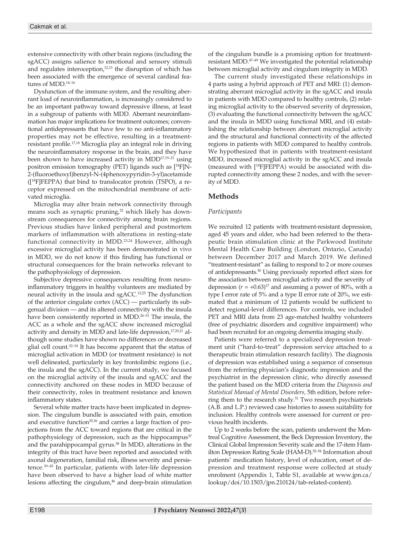extensive connectivity with other brain regions (including the sgACC) assigns salience to emotional and sensory stimuli and regulates interoception, $12,13$  the disruption of which has been associated with the emergence of several cardinal features of MDD.14–16

Dysfunction of the immune system, and the resulting aberrant load of neuroinflammation, is increasingly considered to be an important pathway toward depressive illness, at least in a subgroup of patients with MDD. Aberrant neuroinflammation has major implications for treatment outcomes; conventional antidepressants that have few to no anti-inflammatory properties may not be effective, resulting in a treatmentresistant profile.17,18 Microglia play an integral role in driving the neuroinflammatory response in the brain, and they have been shown to have increased activity in MDD17,19–21 using positron emission tomography (PET) ligands such as [18F]N-2-(fluoroethoxyl)benzyl-N-(4phenoxypyridin-3-yl)acetamide ([18F]FEPPA) that bind to translocator protein (TSPO), a receptor expressed on the mitochondrial membrane of activated microglia.

Microglia may alter brain network connectivity through means such as synaptic pruning, $22$  which likely has downstream consequences for connectivity among brain regions. Previous studies have linked peripheral and postmortem markers of inflammation with alterations in resting-state functional connectivity in MDD.<sup>23,24</sup> However, although excessive microglial activity has been demonstrated in vivo in MDD, we do not know if this finding has functional or structural consequences for the brain networks relevant to the pathophysiology of depression.

Subjective depressive consequences resulting from neuroinflammatory triggers in healthy volunteers are mediated by neural activity in the insula and sgACC.12,25 The dysfunction of the anterior cingulate cortex (ACC) — particularly its subgenual division — and its altered connectivity with the insula have been consistently reported in MDD.<sup>26-31</sup> The insula, the ACC as a whole and the sgACC show increased microglial activity and density in MDD and late-life depression,<sup>17,20,21</sup> although some studies have shown no differences or decreased glial cell count.<sup>32-34</sup> It has become apparent that the status of microglial activation in MDD (or treatment resistance) is not well delineated, particularly in key frontolimbic regions (i.e., the insula and the sgACC). In the current study, we focused on the microglial activity of the insula and sgACC and the connectivity anchored on these nodes in MDD because of their connectivity, roles in treatment resistance and known inflammatory states.

Several white matter tracts have been implicated in depression. The cingulum bundle is associated with pain, emotion and executive function<sup>35,36</sup> and carries a large fraction of projections from the ACC toward regions that are critical in the pathophysiology of depression, such as the hippocampus<sup>37</sup> and the parahippocampal gyrus.<sup>38</sup> In MDD, alterations in the integrity of this tract have been reported and associated with axonal degeneration, familial risk, illness severity and persistence.39–45 In particular, patients with later-life depression have been observed to have a higher load of white matter lesions affecting the cingulum,<sup>46</sup> and deep-brain stimulation of the cingulum bundle is a promising option for treatmentresistant MDD.47–49 We investigated the potential relationship between microglial activity and cingulum integrity in MDD.

The current study investigated these relationships in 4 parts using a hybrid approach of PET and MRI: (1) demonstrating aberrant microglial activity in the sgACC and insula in patients with MDD compared to healthy controls, (2) relating microglial activity to the observed severity of depression, (3) evaluating the functional connectivity between the sgACC and the insula in MDD using functional MRI, and (4) establishing the relationship between aberrant microglial activity and the structural and functional connectivity of the affected regions in patients with MDD compared to healthy controls. We hypothesized that in patients with treatment-resistant MDD, increased microglial activity in the sgACC and insula (measured with [18F]FEPPA) would be associated with disrupted connectivity among these 2 nodes, and with the severity of MDD.

# **Methods**

## *Participants*

We recruited 12 patients with treatment-resistant depression, aged 45 years and older, who had been referred to the therapeutic brain stimulation clinic at the Parkwood Institute Mental Health Care Building (London, Ontario, Canada) between December 2017 and March 2019. We defined "treatment-resistant" as failing to respond to 2 or more courses of antidepressants.50 Using previously reported effect sizes for the association between microglial activity and the severity of depression  $(r = +0.63)^{17}$  and assuming a power of 80%, with a type I error rate of 5% and a type II error rate of 20%, we estimated that a minimum of 12 patients would be sufficient to detect regional-level differences. For controls, we included PET and MRI data from 23 age-matched healthy volunteers (free of psychiatric disorders and cognitive impairment) who had been recruited for an ongoing dementia imaging study.

Patients were referred to a specialized depression treatment unit ("hard-to-treat" depression service attached to a therapeutic brain stimulation research facility). The diagnosis of depression was established using a sequence of consensus from the referring physician's diagnostic impression and the psychiatrist in the depression clinic, who directly assessed the patient based on the MDD criteria from the *Diagnosis and Statistical Manual of Mental Disorders,* 5th edition, before referring them to the research study.<sup>51</sup> Two research psychiatrists (A.B. and L.P.) reviewed case histories to assess suitability for inclusion. Healthy controls were assessed for current or previous health incidents.

Up to 2 weeks before the scan, patients underwent the Montreal Cognitive Assessment, the Beck Depression Inventory, the Clinical Global Impression Severity scale and the 17-item Hamilton Depression Rating Scale (HAM-D).<sup>52-54</sup> Information about patients' medication history, level of education, onset of depression and treatment response were collected at study enrolment (Appendix 1, Table S1, available at www.jpn.ca/ lookup/doi/10.1503/jpn.210124/tab-related-content).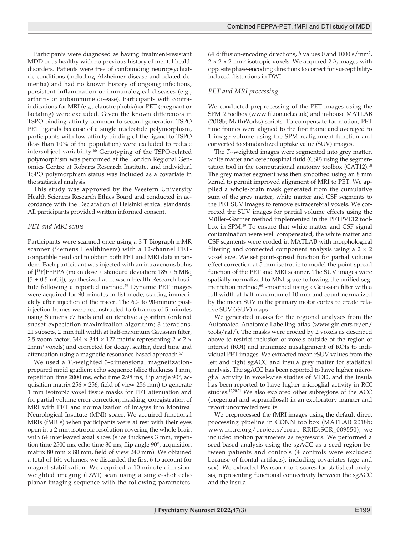Participants were diagnosed as having treatment-resistant MDD or as healthy with no previous history of mental health disorders. Patients were free of confounding neuropsychiatric conditions (including Alzheimer disease and related dementia) and had no known history of ongoing infections, persistent inflammation or immunological diseases (e.g., arthritis or autoimmune disease). Participants with contraindications for MRI (e.g., claustrophobia) or PET (pregnant or lactating) were excluded. Given the known differences in TSPO binding affinity common to second-generation TSPO PET ligands because of a single nucleotide polymorphism, participants with low-affinity binding of the ligand to TSPO (less than 10% of the population) were excluded to reduce intersubject variability.55 Genotyping of the TSPO-related polymorphism was performed at the London Regional Genomics Centre at Robarts Research Institute, and individual TSPO polymorphism status was included as a covariate in the statistical analysis.

This study was approved by the Western University Health Sciences Research Ethics Board and conducted in accordance with the Declaration of Helsinki ethical standards. All participants provided written informed consent.

## *PET and MRI scans*

Participants were scanned once using a 3 T Biograph mMR scanner (Siemens Healthineers) with a 12-channel PETcompatible head coil to obtain both PET and MRI data in tandem. Each participant was injected with an intravenous bolus of  $[^{18}F]$ FEPPA (mean dose  $\pm$  standard deviation:  $185 \pm 5$  MBq  $[5 \pm 0.5 \text{ mCi}]$ , synthesized at Lawson Health Research Institute following a reported method.<sup>56</sup> Dynamic PET images were acquired for 90 minutes in list mode, starting immediately after injection of the tracer. The 60- to 90-minute postinjection frames were reconstructed to 6 frames of 5 minutes using Siemens e7 tools and an iterative algorithm (ordered subset expectation maximization algorithm; 3 iterations, 21 subsets, 2 mm full width at half-maximum Gaussian filter, 2.5 zoom factor,  $344 \times 344 \times 127$  matrix representing  $2 \times 2 \times$ 2mm<sup>3</sup> voxels) and corrected for decay, scatter, dead time and attenuation using a magnetic-resonance-based approach.<sup>57</sup>

We used a  $T_1$ -weighted 3-dimensional magnetizationprepared rapid gradient echo sequence (slice thickness 1 mm, repetition time 2000 ms, echo time 2.98 ms, flip angle 90°, acquisition matrix  $256 \times 256$ , field of view 256 mm) to generate 1 mm isotropic voxel tissue masks for PET attenuation and for partial volume error correction, masking, coregistration of MRI with PET and normalization of images into Montreal Neurological Institute (MNI) space. We acquired functional MRIs (fMRIs) when participants were at rest with their eyes open in a 2 mm isotropic resolution covering the whole brain with 64 interleaved axial slices (slice thickness 3 mm, repetition time 2500 ms, echo time 30 ms, flip angle 90°, acquisition matrix 80 mm  $\times$  80 mm, field of view 240 mm). We obtained a total of 164 volumes; we discarded the first 6 to account for magnet stabilization. We acquired a 10-minute diffusionweighted imaging (DWI) scan using a single-shot echo planar imaging sequence with the following parameters:

64 diffusion-encoding directions, *b* values 0 and 1000 s/mm2 ,  $2 \times 2 \times 2$  mm<sup>3</sup> isotropic voxels. We acquired 2  $b_0$  images with opposite phase-encoding directions to correct for susceptibilityinduced distortions in DWI.

# *PET and MRI processing*

We conducted preprocessing of the PET images using the SPM12 toolbox (www.fil.ion.ucl.ac.uk) and in-house MATLAB (2018b; MathWorks) scripts. To compensate for motion, PET time frames were aligned to the first frame and averaged to 1 image volume using the SPM realignment function and converted to standardized uptake value (SUV) images.

The *T*<sub>1</sub>-weighted images were segmented into grey matter, white matter and cerebrospinal fluid (CSF) using the segmentation tool in the computational anatomy toolbox (CAT12).<sup>58</sup> The grey matter segment was then smoothed using an 8 mm kernel to permit improved alignment of MRI to PET. We applied a whole-brain mask generated from the cumulative sum of the grey matter, white matter and CSF segments to the PET SUV images to remove extracerebral voxels. We corrected the SUV images for partial volume effects using the Müller–Gartner method implemented in the PETPVE12 toolbox in SPM.59 To ensure that white matter and CSF signal contamination were well compensated, the white matter and CSF segments were eroded in MATLAB with morphological filtering and connected component analysis using a  $2 \times 2$ voxel size. We set point-spread function for partial volume effect correction at 5 mm isotropic to model the point-spread function of the PET and MRI scanner. The SUV images were spatially normalized to MNI space following the unified segmentation method,<sup>60</sup> smoothed using a Gaussian filter with a full width at half-maximum of 10 mm and count-normalized by the mean SUV in the primary motor cortex to create relative SUV (rSUV) maps.

We generated masks for the regional analyses from the Automated Anatomic Labelling atlas (www.gin.cnrs.fr/en/ tools/aal/). The masks were eroded by 2 voxels as described above to restrict inclusion of voxels outside of the region of interest (ROI) and minimize misalignment of ROIs to individual PET images. We extracted mean rSUV values from the left and right sgACC and insula grey matter for statistical analysis. The sgACC has been reported to have higher microglial activity in voxel-wise studies of MDD, and the insula has been reported to have higher microglial activity in ROI studies.17,20,21 We also explored other subregions of the ACC (pregenual and supracallosal) in an exploratory manner and report uncorrected results.

We preprocessed the fMRI images using the default direct processing pipeline in CONN toolbox (MATLAB 2018b; www.nitrc.org/projects/conn; RRID:SCR\_009550); we included motion parameters as regressors. We performed a seed-based analysis using the sgACC as a seed region between patients and controls (4 controls were excluded because of frontal artifacts), including covariates (age and sex). We extracted Pearson *r*-to-*z* scores for statistical analysis, representing functional connectivity between the sgACC and the insula.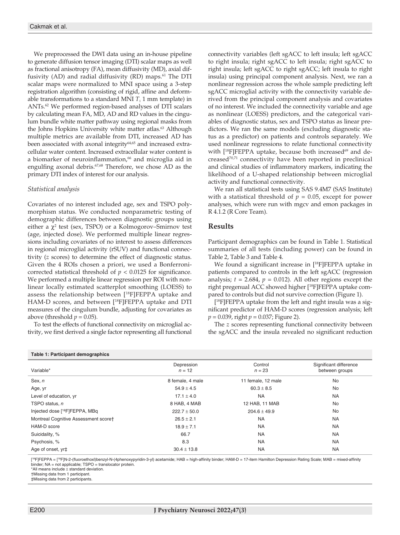We preprocessed the DWI data using an in-house pipeline to generate diffusion tensor imaging (DTI) scalar maps as well as fractional anisotropy (FA), mean diffusivity (MD), axial diffusivity (AD) and radial diffusivity (RD) maps.<sup>61</sup> The DTI scalar maps were normalized to MNI space using a 3-step registration algorithm (consisting of rigid, affine and deformable transformations to a standard MNI  $T<sub>1</sub>$  1 mm template) in ANTs.62 We performed region-based analyses of DTI scalars by calculating mean FA, MD, AD and RD values in the cingulum bundle white matter pathway using regional masks from the Johns Hopkins University white matter atlas.<sup>63</sup> Although multiple metrics are available from DTI, increased AD has been associated with axonal integrity<sup>64,65</sup> and increased extracellular water content. Increased extracellular water content is a biomarker of neuroinflammation,<sup>66</sup> and microglia aid in engulfing axonal debris.<sup>67,68</sup> Therefore, we chose AD as the primary DTI index of interest for our analysis.

## *Statistical analysis*

Covariates of no interest included age, sex and TSPO polymorphism status. We conducted nonparametric testing of demographic differences between diagnostic groups using either a  $\chi^2$  test (sex, TSPO) or a Kolmogorov–Smirnov test (age, injected dose). We performed multiple linear regressions including covariates of no interest to assess differences in regional microglial activity (rSUV) and functional connectivity (*z* scores) to determine the effect of diagnostic status. Given the 4 ROIs chosen a priori, we used a Bonferronicorrected statistical threshold of  $p < 0.0125$  for significance. We performed a multiple linear regression per ROI with nonlinear locally estimated scatterplot smoothing (LOESS) to assess the relationship between [18F]FEPPA uptake and HAM-D scores, and between [<sup>18</sup>F]FEPPA uptake and DTI measures of the cingulum bundle, adjusting for covariates as above (threshold  $p = 0.05$ ).

To test the effects of functional connectivity on microglial activity, we first derived a single factor representing all functional connectivity variables (left sgACC to left insula; left sgACC to right insula; right sgACC to left insula; right sgACC to right insula; left sgACC to right sgACC; left insula to right insula) using principal component analysis. Next, we ran a nonlinear regression across the whole sample predicting left sgACC microglial activity with the connectivity variable derived from the principal component analysis and covariates of no interest. We included the connectivity variable and age as nonlinear (LOESS) predictors, and the categorical variables of diagnostic status, sex and TSPO status as linear predictors. We ran the same models (excluding diagnostic status as a predictor) on patients and controls separately. We used nonlinear regressions to relate functional connectivity with  $[{}^{18}F]FEPPA$  uptake, because both increased<sup>69</sup> and decreased<sup>70,71</sup> connectivity have been reported in preclinical and clinical studies of inflammatory markers, indicating the likelihood of a U-shaped relationship between microglial activity and functional connectivity.

We ran all statistical tests using SAS 9.4M7 (SAS Institute) with a statistical threshold of  $p = 0.05$ , except for power analyses, which were run with mgcv and emon packages in R 4.1.2 (R Core Team).

## **Results**

Participant demographics can be found in Table 1. Statistical summaries of all tests (including power) can be found in Table 2, Table 3 and Table 4.

We found a significant increase in [<sup>18</sup>F]FEPPA uptake in patients compared to controls in the left sgACC (regression analysis;  $t = 2.684$ ,  $p = 0.012$ ). All other regions except the right pregenual ACC showed higher [18F]FEPPA uptake compared to controls but did not survive correction (Figure 1).

[ 18F]FEPPA uptake from the left and right insula was a significant predictor of HAM-D scores (regression analysis; left *p* = 0.039, right *p* = 0.037; Figure 2).

The *z* scores representing functional connectivity between the sgACC and the insula revealed no significant reduction

| Table 1: Participant demographics          |                        |                     |                                          |  |  |  |
|--------------------------------------------|------------------------|---------------------|------------------------------------------|--|--|--|
| Variable*                                  | Depression<br>$n = 12$ | Control<br>$n = 23$ | Significant difference<br>between groups |  |  |  |
| Sex, n                                     | 8 female, 4 male       | 11 female, 12 male  | <b>No</b>                                |  |  |  |
| Age, yr                                    | $54.9 \pm 4.5$         | $60.3 \pm 8.5$      | <b>No</b>                                |  |  |  |
| Level of education, yr                     | $17.1 \pm 4.0$         | <b>NA</b>           | <b>NA</b>                                |  |  |  |
| TSPO status, n                             | 8 HAB, 4 MAB           | 12 HAB, 11 MAB      | No                                       |  |  |  |
| Injected dose [ <sup>18</sup> F]FEPPA, MBq | $222.7 \pm 50.0$       | $204.6 \pm 49.9$    | <b>No</b>                                |  |  |  |
| Montreal Cognitive Assessment scoret       | $26.5 \pm 2.1$         | <b>NA</b>           | <b>NA</b>                                |  |  |  |
| HAM-D score                                | $18.9 \pm 7.1$         | <b>NA</b>           | <b>NA</b>                                |  |  |  |
| Suicidality, %                             | 66.7                   | <b>NA</b>           | <b>NA</b>                                |  |  |  |
| Psychosis, %                               | 8.3                    | <b>NA</b>           | <b>NA</b>                                |  |  |  |
| Age of onset, yr <sup>+</sup>              | $30.4 \pm 13.8$        | <b>NA</b>           | <b>NA</b>                                |  |  |  |

[<sup>18</sup>F]FEPPA = [<sup>18</sup>F]N-2-(fluoroethoxl)benzyl-N-(4phenoxypyridin-3-yl) acetamide; HAB = high-affinity binder; HAM-D = 17-item Hamilton Depression Rating Scale; MAB = mixed-affinity binder; NA = not applicable; TSPO = translocator protein.

\*All means include ± standard deviation.

†Missing data from 1 participant.

‡Missing data from 2 participants.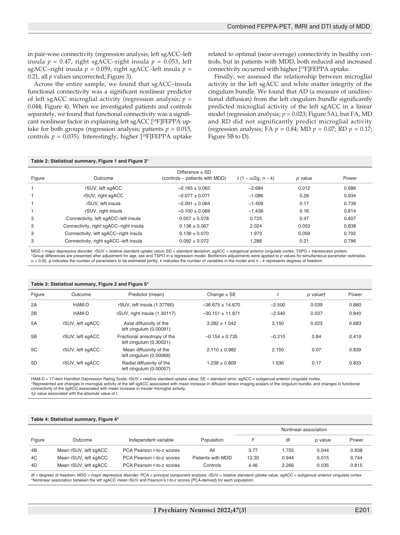in pair-wise connectivity (regression analysis; left sgACC–left insula  $p = 0.47$ , right sgACC–right insula  $p = 0.053$ , left sgACC–right insula  $p = 0.059$ , right sgACC–left insula  $p =$ 0.21, all *p* values uncorrected; Figure 3).

Across the entire sample, we found that sgACC–insula functional connectivity was a significant nonlinear predictor of left sgACC microglial activity (regression analysis; *p* = 0.044; Figure 4). When we investigated patients and controls separately, we found that functional connectivity was a significant nonlinear factor in explaining left sgACC [<sup>18</sup>F]FEPPA uptake for both groups (regression analysis; patients  $p = 0.015$ , controls  $p = 0.035$ ). Interestingly, higher  $[18F]FEPPA$  uptake

related to optimal (near-average) connectivity in healthy controls, but in patients with MDD, both reduced and increased connectivity occurred with higher [18F]FEPPA uptake.

Finally, we assessed the relationship between microglial activity in the left sgACC and white matter integrity of the cingulum bundle. We found that AD (a measure of unidirectional diffusion) from the left cingulum bundle significantly predicted microglial activity of the left sgACC in a linear model (regression analysis;  $p = 0.023$ ; Figure 5A), but FA, MD and RD did not significantly predict microglial activity (regression analysis; FA *p* = 0.84; MD *p* = 0.07; RD *p* = 0.17; Figure 5B to D).

### **Table 2: Statistical summary, Figure 1 and Figure 3\***

| Figure | Outcome                                | Difference $\pm$ SD<br>(controls – patients with MDD) | $t(1 - \alpha/2q, n - k)$ | p value | Power |
|--------|----------------------------------------|-------------------------------------------------------|---------------------------|---------|-------|
|        | rSUV, left sqACC                       | $-0.165 \pm 0.062$                                    | $-2.684$                  | 0.012   | 0.986 |
|        | rSUV, right sgACC                      | $-0.077 + 0.071$                                      | $-1.086$                  | 0.29    | 0.934 |
|        | rSUV. left insula                      | $-0.091 \pm 0.064$                                    | $-1.409$                  | 0.17    | 0.739 |
|        | rSUV, right insula                     | $-0.100 \pm 0.069$                                    | $-1.438$                  | 0.16    | 0.814 |
| 3      | Connectivity, left sgACC-left insula   | $0.057 \pm 0.078$                                     | 0.725                     | 0.47    | 0.407 |
| 3      | Connectivity, right sgACC-right insula | $0.136 \pm 0.067$                                     | 2.024                     | 0.053   | 0.838 |
| 3      | Connectivity, left sqACC-right insula  | $0.139 \pm 0.070$                                     | .973                      | 0.059   | 0.792 |
| 3      | Connectivity, right sgACC-left insula  | $0.092 \pm 0.072$                                     | .288                      | 0.21    | 0.796 |

MDD = major depressive disorder; rSUV = relative standard uptake value; SD = standard deviation; sgACC = subgenual anterior cingulate cortex; TSPO = translocator protein. \*Group differences are presented after adjustment for age, sex and TSPO in a regression model. Bonferroni adjustments were applied to *p* values for simultaneous parameter estimates. α = 0.05, *g* indicates the number of parameters to be estimated jointly, *k* indicates the number of variables in the model and *n* − *k* represents degrees of freedom.

#### **Table 3: Statistical summary, Figure 2 and Figure 5\***

| Figure | Outcome          | Predictor (mean)                                        | Change $\pm$ SE      |          | p valuet | Power |
|--------|------------------|---------------------------------------------------------|----------------------|----------|----------|-------|
| 2A     | HAM-D            | rSUV, left insula (1.37760)                             | $-36.675 \pm 14.670$ | $-2.500$ | 0.039    | 0.880 |
| 2B     | HAM-D            | rSUV, right insula (1.30117)                            | $-30.151 \pm 11.871$ | $-2.540$ | 0.037    | 0.840 |
| 5A     | rSUV, left sqACC | Axial diffusivity of the<br>left cingulum (0.00091)     | $3.282 \pm 1.042$    | 3.150    | 0.023    | 0.683 |
| 5B     | rSUV, left sqACC | Fractional anisotropy of the<br>left cingulum (0.30021) | $-0.154 \pm 0.735$   | $-0.210$ | 0.84     | 0.419 |
| 5C     | rSUV, left sqACC | Mean diffusivity of the<br>left cingulum (0.00068)      | $2.110 \pm 0.982$    | 2.150    | 0.07     | 0.839 |
| 5D     | rSUV, left sqACC | Radial diffusivity of the<br>left cinqulum (0.00057)    | $1.238 \pm 0.809$    | 1.530    | 0.17     | 0.833 |

HAM-D = 17-item Hamilton Depression Rating Scale: rSUV = relative standard uptake value: SE = standard error; sgACC = subgenual anterior cingulate cortex. \*Represented are changes in microglial activity of the left sgACC associated with mean increase in diffusion tensor imaging scalars of the cingulum bundle, and changes in functional connectivity of the sgACC associated with mean increase in insular microglial activity. †*p* value associated with the absolute value of *t*.

#### **Table 4: Statistical summary, Figure 4\***

|        |                       |                           |                   | Nonlinear association |       |         |       |
|--------|-----------------------|---------------------------|-------------------|-----------------------|-------|---------|-------|
| Figure | Outcome               | Independent variable      | Population        |                       | df    | p value | Power |
| 4B     | Mean rSUV, left sqACC | PCA Pearson r-to-z scores | Αll               | 3.77                  | 1.755 | 0.044   | 0.938 |
| 4C     | Mean rSUV, left sqACC | PCA Pearson r-to-z scores | Patients with MDD | 12.30                 | 0.944 | 0.015   | 0.744 |
| 4D     | Mean rSUV, left sqACC | PCA Pearson r-to-z scores | Controls          | 4.46                  | 2.266 | 0.035   | 0.815 |

df = degrees of freedom; MDD = major depressive disorder; PCA = principal component analysis; rSUV = relative standard uptake value; sgACC = subgenual anterior cingulate cortex. \*Nonlinear association between the left sgACC mean rSUV and Pearson's *r*-to-*z* scores (PCA-derived) for each population.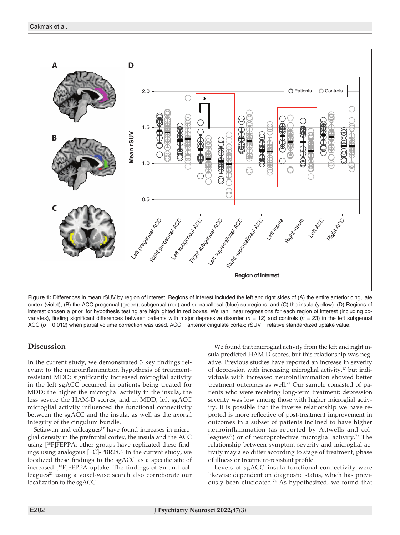

Figure 1: Differences in mean rSUV by region of interest. Regions of interest included the left and right sides of (A) the entire anterior cingulate cortex (violet); (B) the ACC pregenual (green), subgenual (red) and supracallosal (blue) subregions; and (C) the insula (yellow). (D) Regions of interest chosen a priori for hypothesis testing are highlighted in red boxes. We ran linear regressions for each region of interest (including covariates), finding significant differences between patients with major depressive disorder (*n* = 12) and controls (*n* = 23) in the left subgenual ACC  $(p = 0.012)$  when partial volume correction was used. ACC = anterior cingulate cortex;  $rSUV =$  relative standardized uptake value.

# **Discussion**

In the current study, we demonstrated 3 key findings relevant to the neuroinflammation hypothesis of treatmentresistant MDD: significantly increased microglial activity in the left sgACC occurred in patients being treated for MDD; the higher the microglial activity in the insula, the less severe the HAM-D scores; and in MDD, left sgACC microglial activity influenced the functional connectivity between the sgACC and the insula, as well as the axonal integrity of the cingulum bundle.

Setiawan and colleagues $17$  have found increases in microglial density in the prefrontal cortex, the insula and the ACC using [18F]FEPPA; other groups have replicated these findings using analogous [11C]-PBR28.20 In the current study, we localized these findings to the sgACC as a specific site of increased [18F]FEPPA uptake. The findings of Su and colleagues<sup>21</sup> using a voxel-wise search also corroborate our localization to the sgACC.

We found that microglial activity from the left and right insula predicted HAM-D scores, but this relationship was negative. Previous studies have reported an increase in severity of depression with increasing microglial activity,<sup>17</sup> but individuals with increased neuroinflammation showed better treatment outcomes as well.72 Our sample consisted of patients who were receiving long-term treatment; depression severity was low among those with higher microglial activity. It is possible that the inverse relationship we have reported is more reflective of post-treatment improvement in outcomes in a subset of patients inclined to have higher neuroinflammation (as reported by Attwells and colleagues<sup>72</sup>) or of neuroprotective microglial activity.<sup>73</sup> The relationship between symptom severity and microglial activity may also differ according to stage of treatment, phase of illness or treatment-resistant profile.

Levels of sgACC–insula functional connectivity were likewise dependent on diagnostic status, which has previously been elucidated.74 As hypothesized, we found that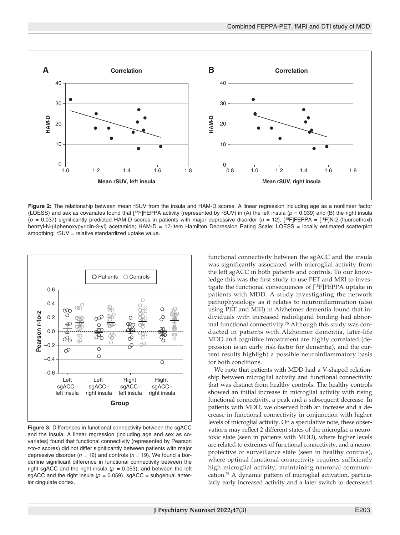

**Figure 2:** The relationship between mean rSUV from the insula and HAM-D scores. A linear regression including age as a nonlinear factor (LOESS) and sex as covariates found that  $[{}^{18}F]FEPPA$  activity (represented by rSUV) in (A) the left insula ( $p = 0.039$ ) and (B) the right insula  $(p = 0.037)$  significantly predicted HAM-D scores in patients with major depressive disorder  $(n = 12)$ . [<sup>18</sup>F]FEPPA = [<sup>18</sup>F]N-2-(fluoroethoxl) benzyl-N-(4phenoxypyridin-3-yl) acetamide; HAM-D = 17-item Hamilton Depression Rating Scale; LOESS = locally estimated scatterplot smoothing; rSUV = relative standardized uptake value.



**Figure 3:** Differences in functional connectivity between the sgACC and the insula. A linear regression (including age and sex as covariates) found that functional connectivity (represented by Pearson *r*-to-*z* scores) did not differ significantly between patients with major depressive disorder  $(n = 12)$  and controls  $(n = 19)$ . We found a borderline significant difference in functional connectivity between the right sgACC and the right insula ( $p = 0.053$ ), and between the left sgACC and the right insula ( $p = 0.059$ ). sgACC = subgenual anterior cingulate cortex.

functional connectivity between the sgACC and the insula was significantly associated with microglial activity from the left sgACC in both patients and controls. To our knowledge this was the first study to use PET and MRI to investigate the functional consequences of [18F]FEPPA uptake in patients with MDD. A study investigating the network pathophysiology as it relates to neuroinflammation (also using PET and MRI) in Alzheimer dementia found that individuals with increased radioligand binding had abnormal functional connectivity.75 Although this study was conducted in patients with Alzheimer dementia, later-life MDD and cognitive impairment are highly correlated (depression is an early risk factor for dementia), and the current results highlight a possible neuroinflammatory basis for both conditions.

We note that patients with MDD had a V-shaped relationship between microglial activity and functional connectivity that was distinct from healthy controls. The healthy controls showed an initial increase in microglial activity with rising functional connectivity, a peak and a subsequent decrease. In patients with MDD, we observed both an increase and a decrease in functional connectivity in conjunction with higher levels of microglial activity. On a speculative note, these observations may reflect 2 different states of the microglia: a neurotoxic state (seen in patients with MDD), where higher levels are related to extremes of functional connectivity, and a neuroprotective or surveillance state (seen in healthy controls), where optimal functional connectivity requires sufficiently high microglial activity, maintaining neuronal communication.76 A dynamic pattern of microglial activation, particularly early increased activity and a later switch to decreased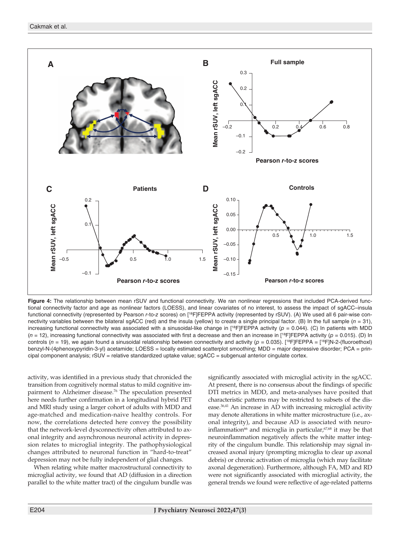

Figure 4: The relationship between mean rSUV and functional connectivity. We ran nonlinear regressions that included PCA-derived functional connectivity factor and age as nonlinear factors (LOESS), and linear covariates of no interest, to assess the impact of sgACC–insula functional connectivity (represented by Pearson *r*-to-*z* scores) on [18F]FEPPA activity (represented by rSUV). (A) We used all 6 pair-wise connectivity variables between the bilateral sgACC (red) and the insula (yellow) to create a single principal factor. (B) In the full sample (*n* = 31), increasing functional connectivity was associated with a sinusoidal-like change in  $[^{18}F]FEPPA$  activity ( $p = 0.044$ ). (C) In patients with MDD  $(n = 12)$ , increasing functional connectivity was associated with first a decrease and then an increase in [<sup>18</sup>F]FEPPA activity ( $p = 0.015$ ). (D) In controls ( $n = 19$ ), we again found a sinusoidal relationship between connectivity and activity ( $p = 0.035$ ). [<sup>18</sup>F]FEPPA = [<sup>18</sup>F]N-2-(fluoroethoxl) benzyl-N-(4phenoxypyridin-3-yl) acetamide; LOESS = locally estimated scatterplot smoothing; MDD = major depressive disorder; PCA = principal component analysis; rSUV = relative standardized uptake value; sgACC = subgenual anterior cingulate cortex.

activity, was identified in a previous study that chronicled the transition from cognitively normal status to mild cognitive impairment to Alzheimer disease.76 The speculation presented here needs further confirmation in a longitudinal hybrid PET and MRI study using a larger cohort of adults with MDD and age-matched and medication-naive healthy controls. For now, the correlations detected here convey the possibility that the network-level dysconnectivity often attributed to axonal integrity and asynchronous neuronal activity in depression relates to microglial integrity. The pathophysiological changes attributed to neuronal function in "hard-to-treat" depression may not be fully independent of glial changes.

When relating white matter macrostructural connectivity to microglial activity, we found that AD (diffusion in a direction parallel to the white matter tract) of the cingulum bundle was

significantly associated with microglial activity in the sgACC. At present, there is no consensus about the findings of specific DTI metrics in MDD, and meta-analyses have posited that characteristic patterns may be restricted to subsets of the disease.<sup>36,41</sup> An increase in AD with increasing microglial activity may denote alterations in white matter microstructure (i.e., axonal integrity), and because AD is associated with neuroinflammation<sup>66</sup> and microglia in particular, $67,68$  it may be that neuroinflammation negatively affects the white matter integrity of the cingulum bundle. This relationship may signal increased axonal injury (prompting microglia to clear up axonal debris) or chronic activation of microglia (which may facilitate axonal degeneration). Furthermore, although FA, MD and RD were not significantly associated with microglial activity, the general trends we found were reflective of age-related patterns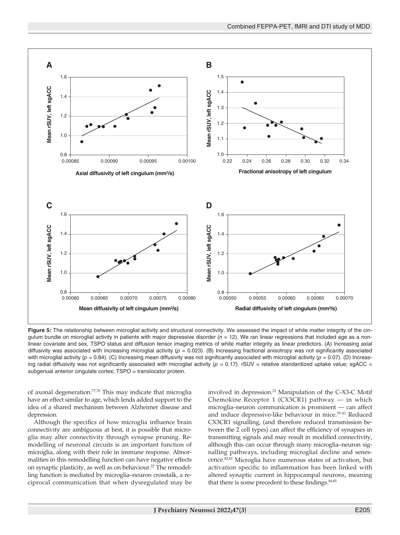

Figure 5: The relationship between microglial activity and structural connectivity. We assessed the impact of white matter integrity of the cingulum bundle on microglial activity in patients with major depressive disorder  $(n = 12)$ . We ran linear regressions that included age as a nonlinear covariate and sex, TSPO status and diffusion tensor imaging metrics of white matter integrity as linear predictors. (A) Increasing axial diffusivity was associated with increasing microglial activity  $(p = 0.023)$ . (B) Increasing fractional anisotropy was not significantly associated with microglial activity ( $p = 0.84$ ). (C) Increasing mean diffusivity was not significantly associated with microglial activity ( $p = 0.07$ ). (D) Increasing radial diffusivity was not significantly associated with microglial activity ( $p = 0.17$ ). rSUV = relative standardized uptake value; sgACC = subgenual anterior cingulate cortex; TSPO = translocator protein.

of axonal degeneration.<sup>77,78</sup> This may indicate that microglia have an effect similar to age, which lends added support to the idea of a shared mechanism between Alzheimer disease and depression.

Although the specifics of how microglia influence brain connectivity are ambiguous at best, it is possible that microglia may alter connectivity through synapse pruning. Remodelling of neuronal circuits is an important function of microglia, along with their role in immune response. Abnormalities in this remodelling function can have negative effects on synaptic plasticity, as well as on behaviour.<sup>22</sup> The remodelling function is mediated by microglia–neuron crosstalk, a reciprocal communication that when dysregulated may be involved in depression.<sup>22</sup> Manipulation of the C-X3-C Motif Chemokine Receptor 1 (CX3CR1) pathway — in which microglia–neuron communication is prominent — can affect and induce depressive-like behaviour in mice.79–81 Reduced CX3CR1 signalling, (and therefore reduced transmission between the 2 cell types) can affect the efficiency of synapses in transmitting signals and may result in modified connectivity, although this can occur through many microglia–neuron signalling pathways, including microglial decline and senescence.82,83 Microglia have numerous states of activation, but activation specific to inflammation has been linked with altered synaptic current in hippocampal neurons, meaning that there is some precedent to these findings.<sup>84,85</sup>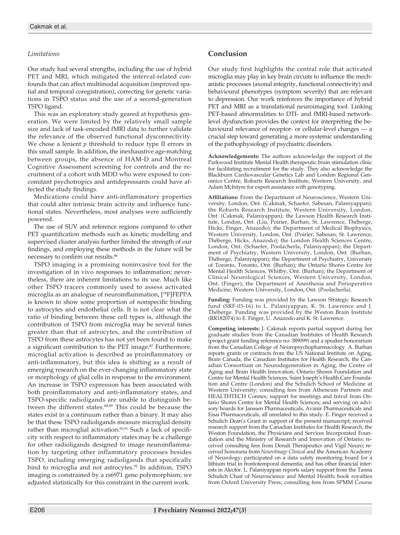## *Limitations*

Our study had several strengths, including the use of hybrid PET and MRI, which mitigated the interval-related confounds that can affect multimodal acquisition (improved spatial and temporal coregistration), correcting for genetic variations in TSPO status and the use of a second-generation TSPO ligand.

This was an exploratory study geared at hypothesis generation. We were limited by the relatively small sample size and lack of task-encoded fMRI data to further validate the relevance of the observed functional dysconnectivity. We chose a lenient *p* threshold to reduce type II errors in this small sample. In addition, the inexhaustive age-matching between groups, the absence of HAM-D and Montreal Cognitive Assessment screening for controls and the recruitment of a cohort with MDD who were exposed to concomitant psychotropics and antidepressants could have affected the study findings.

Medications could have anti-inflammatory properties that could alter intrinsic brain activity and influence functional states. Nevertheless, most analyses were sufficiently powered.

The use of SUV and reference regions compared to other PET quantification methods such as kinetic modelling and supervised cluster analysis further limited the strength of our findings, and employing these methods in the future will be necessary to confirm our results.86

TSPO imaging is a promising noninvasive tool for the investigation of in vivo responses to inflammation; nevertheless, there are inherent limitations to its use. Much like other TSPO tracers commonly used to assess activated microglia as an analogue of neuroinflammation, [18F]FEPPA is known to show some proportion of nonspecific binding to astrocytes and endothelial cells. It is not clear what the ratio of binding between these cell types is, although the contribution of TSPO from microglia may be several times greater than that of astrocytes, and the contribution of TSPO from these astrocytes has not yet been found to make a significant contribution to the PET image.<sup>87</sup> Furthermore, microglial activation is described as proinflammatory or anti-inflammatory, but this idea is shifting as a result of emerging research on the ever-changing inflammatory state or morphology of glial cells in response to the environment. An increase in TSPO expression has been associated with both proinflammatory and anti-inflammatory states, and TSPO-specific radioligands are unable to distinguish between the different states.<sup>88,89</sup> This could be because the states exist in a continuum rather than a binary. It may also be that these TSPO radioligands measure microglial density rather than microglial activation.<sup>90,91</sup> Such a lack of specificity with respect to inflammatory states may be a challenge for other radioligands designed to image neuroinflammation by targeting other inflammatory processes besides TSPO, including emerging radioligands that specifically bind to microglia and not astrocytes.<sup>92</sup> In addition, TSPO imaging is constrained by a rs6971 gene polymorphism; we adjusted statistically for this constraint in the current work.

## **Conclusion**

Our study first highlights the central role that activated microglia may play in key brain circuits to influence the mechanistic processes (axonal integrity, functional connectivity) and behavioural phenotypes (symptom severity) that are relevant to depression. Our work reinforces the importance of hybrid PET and MRI as a translational neuroimaging tool. Linking PET-based abnormalities to DTI- and fMRI-based networklevel dysfunction provides the context for interpreting the behavioural relevance of receptor- or cellular-level changes — a crucial step toward generating a more systemic understanding of the pathophysiology of psychiatric disorders.

**Acknowledgements:** The authors acknowledge the support of the Parkwood Institute Mental Health therapeutic brain stimulation clinic for facilitating recruitment for the study. They also acknowledge the Blackburn Cardiovascular Genetics Lab and London Regional Genomics Centre, Robarts Research Institute, Western University, and Adam McIntyre for expert assistance with genotyping.

**Affiliations:** From the Department of Neuroscience, Western University, London, Ont. (Cakmak, Schaefer, Sabesan, Palaniyappan); the Robarts Research Institute, Western University, London, Ont. (Cakmak, Palaniyappan); the Lawson Health Research Institute, London, Ont. (Liu, Poirier, Burhan, St. Lawrence, Théberge, Hicks, Finger, Anazodo); the Department of Medical Biophysics, Western University, London, Ont. (Poirier, Sabesan, St. Lawrence, Théberge, Hicks, Anazodo); the London Health Sciences Centre, London, Ont. (Schaefer, Poolacherla, Palaniyappan); the Department of Psychiatry, Western University, London, Ont. (Burhan, Théberge, Palaniyappan); the Department of Psychiatry, University of Toronto, Toronto, Ont. (Burhan); the Ontario Shores Centre for Mental Health Sciences, Whitby, Ont. (Burhan); the Department of Clinical Neurological Sciences, Western University, London, Ont. (Finger); the Department of Anesthesia and Perioperative Medicine, Western University, London, Ont. (Poolacherla).

Funding: Funding was provided by the Lawson Strategic Research fund (SRF-03-16) to L. Palaniyappan, K. St. Lawrence and J. Théberge. Funding was provided by the Weston Brain Institute (RR182074) to E. Finger, U. Anazodo and K. St. Lawrence.

**Competing interests:** J. Cakmak reports partial support during her graduate studies from the Canadian Institutes of Health Research (project grant funding reference no. 389099) and a speaker honorarium from the Canadian College of Neuropsychopharmacology. A. Burhan reports grants or contracts from the US National Institute on Aging, Brain Canada, the Canadian Institutes for Health Research, the Canadian Consortium on Neurodegeneration in Aging, the Centre of Aging and Brain Health Innovation, Ontario Shores Foundation and Centre for Mental Health Sciences, Saint Joseph's Health Care Foundation and Centre (London) and the Schulich School of Medicine at Western University; consulting fees from Atheneum Partners and HEALTHTECH Connex; support for meetings and travel from Ontario Shores Centre for Mental Health Sciences; and serving on advisory boards for Janssen Pharmaceuticals, Avanir Pharmaceuticals and Eisai Pharmaceuticals, all unrelated to this study. E. Finger received a Schulich Dean's Grant in support of the present manuscript; received research support from the Canadian Institutes for Health Research, the Weston Foundation, the Physicians and Services Incorporated Foundation and the Ministry of Research and Innovation of Ontario; received consulting fees from Denali Therapeutics and Vigil Neuro; received honoraria from *NeuroImage Clinical* and the American Academy of Neurology; participated on a data safety monitoring board for a lithium trial in frontotemporal dementia; and has other financial interests in Alector. L. Palaniyappan reports salary support from the Tanna Schulich Chair of Neuroscience and Mental Health; book royalties from Oxford University Press; consulting fees from SPMM Course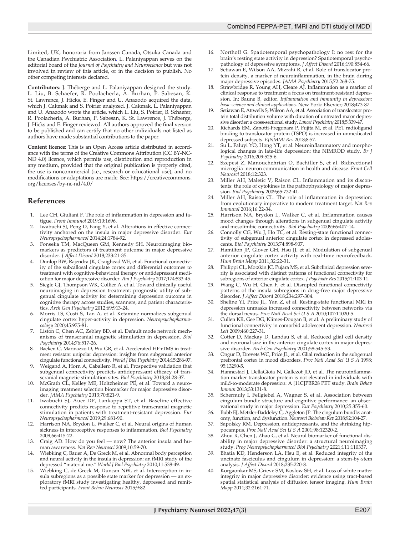Limited, UK; honoraria from Janssen Canada, Otsuka Canada and the Canadian Psychiatric Association. L. Palaniyappan serves on the editorial board of the *Journal of Psychiatry and Neuroscience* but was not involved in review of this article, or in the decision to publish. No other competing interests declared.

**Contributors:** J. Théberge and L. Palaniyappan designed the study. L. Liu, B. Schaefer, R. Poolacherla, A. Burhan, P. Sabesan, K. St. Lawrence, J. Hicks, E. Finger and U. Anazodo acquired the data, which J. Cakmak and S. Poirier analyzed. J. Cakmak, L. Palaniyappan and U. Anazodo wrote the article, which L. Liu, S. Poirier, B. Schaefer, R. Poolacherla, A. Burhan, P. Sabesan, K. St. Lawrence, J. Théberge, J. Hicks and E. Finger reviewed. All authors approved the final version to be published and can certify that no other individuals not listed as authors have made substantial contributions to the paper.

**Content licence:** This is an Open Access article distributed in accordance with the terms of the Creative Commons Attribution (CC BY-NC-ND 4.0) licence, which permits use, distribution and reproduction in any medium, provided that the original publication is properly cited, the use is noncommercial (i.e., research or educational use), and no modifications or adaptations are made. See: https://creativecommons. org/licenses/by-nc-nd/4.0/

## **References**

- 1. Lee CH, Giuliani F. The role of inflammation in depression and fatigue. *Front Immunol* 2019;10:1696.
- 2. Iwabuchi SJ, Peng D, Fang Y, et al. Alterations in effective connectivity anchored on the insula in major depressive disorder. *Eur Neuropsychopharmacol* 2014;24:1784-92.
- 3. Fonseka TM, MacQueen GM, Kennedy SH. Neuroimaging biomarkers as predictors of treatment outcome in major depressive disorder. *J Affect Disord* 2018;233:21-35.
- 4. Dunlop BW, Rajendra JK, Craighead WE, et al. Functional connectivity of the subcallosal cingulate cortex and differential outcomes to treatment with cognitive-behavioral therapy or antidepressant medication for major depressive disorder. *Am J Psychiatry* 2017;174:533-45.
- 5. Siegle GJ, Thompson WK, Collier A, et al. Toward clinically useful neuroimaging in depression treatment: prognostic utility of subgenual cingulate activity for determining depression outcome in cognitive therapy across studies, scanners, and patient characteristics. *Arch Gen Psychiatry* 2012;69:913-24.
- 6. Morris LS, Costi S, Tan A, et al. Ketamine normalizes subgenual cingulate cortex hyper-activity in depression. *Neuropsychopharmacology* 2020;45:975-81.
- Liston C, Chen AC, Zebley BD, et al. Default mode network mechanisms of transcranial magnetic stimulation in depression. *Biol Psychiatry* 2014;76:517-26.
- Baeken C, Marinazzo D, Wu GR, et al. Accelerated HF-rTMS in treatment resistant unipolar depression: insights from subgenual anterior cingulate functional connectivity. *World J Biol Psychiatry* 2014;15:286-97.
- 9. Weigand A, Horn A, Caballero R, et al. Prospective validation that subgenual connectivity predicts antidepressant efficacy of transcranial magnetic stimulation sites. *Biol Psychiatry* 2018;84:28-37.
- 10. McGrath CL, Kelley ME, Holtzheimer PE, et al. Toward a neuroimaging treatment selection biomarker for major depressive disorder. *JAMA Psychiatry* 2013;70:821-9.
- Iwabuchi SJ, Auer DP, Lankappa ST, et al. Baseline effective connectivity predicts response to repetitive transcranial magnetic stimulation in patients with treatment-resistant depression. *Eur Neuropsychopharmacol* 2019;29:681-90.
- Harrison NA, Brydon L, Walker C, et al. Neural origins of human sickness in interoceptive responses to inflammation. *Biol Psychiatry* 2009;66:415-22.
- 13. Craig AD. How do you feel now? The anterior insula and human awareness. *Nat Rev Neurosci* 2009;10:59-70.
- 14. Wiebking C, Bauer A, De Greck M, et al. Abnormal body perception and neural activity in the insula in depression: an fMRI study of the depressed "material me." *World J Biol Psychiatry* 2010;11:538-49.
- 15. Wiebking C, de Greck M, Duncan NW, et al. Interoception in insula subregions as a possible state marker for depression - an exploratory fMRI study investigating healthy, depressed and remitted participants. *Front Behav Neurosci* 2015;9:82.
- 16. Northoff G. Spatiotemporal psychopathology I: no rest for the brain's resting state activity in depression? Spatiotemporal psychopathology of depressive symptoms. *J Affect Disord* 2016;190:854-66.
- 17. Setiawan E, Wilson AA, Mizrahi R, et al. Role of translocator protein density, a marker of neuroinflammation, in the brain during major depressive episodes. *JAMA Psychiatry* 2015;72:268-75.
- 18. Strawbridge R, Young AH, Cleare AJ. Inflammation as a marker of clinical response to treatment: a focus on treatment-resistant depression. In: Baune B, editor. *Inflammation and immunity in depression: basic science and clinical applications*. New York: Elsevier; 2018;473-87.
- Setiawan E, Attwells S, Wilson AA, et al. Association of translocator protein total distribution volume with duration of untreated major depressive disorder: a cross-sectional study. *Lancet Psychiatry* 2018;5:339-47.
- 20. Richards EM, Zanotti-Fregonara P, Fujita M, et al. PET radioligand binding to translocator protein (TSPO) is increased in unmedicated depressed subjects. *EJNMMI Res* 2018;8:57.
- 21. Su L, Faluyi YO, Hong YT, et al. Neuroinflammatory and morphological changes in late-life depression: the NIMROD study. *Br* J *Psychiatry* 2016;209:525-6.
- 22. Szepesi Z, Manouchehrian O, Bachiller S, et al. Bidirectional microglia–neuron communication in health and disease. *Front Cell Neurosci* 2018;12:323.
- 23. Miller AH, Maletic V, Raison CL. Inflammation and its discontents: the role of cytokines in the pathophysiology of major depression. *Biol Psychiatry* 2009;65:732-41.
- 24. Miller AH, Raison CL. The role of inflammation in depression: from evolutionary imperative to modern treatment target. *Nat Rev Immunol* 2016;16:22-34.
- 25. Harrison NA, Brydon L, Walker C, et al. Inflammation causes mood changes through alterations in subgenual cingulate activity and mesolimbic connectivity. *Biol Psychiatry* 2009;66:407-14.
- 26. Connolly CG, Wu J, Ho TC, et al. Resting-state functional connectivity of subgenual anterior cingulate cortex in depressed adolescents. *Biol Psychiatry* 2013;74:898-907.
- 27. Hamilton JP, Glover GH, Hsu JJ, et al. Modulation of subgenual anterior cingulate cortex activity with real-time neurofeedback. *Hum Brain Mapp* 2011;32:22-31.
- Philippi CL, Motzkin JC, Pujara MS, et al. Subclinical depression severity is associated with distinct patterns of functional connectivity for subregions of anterior cingulate cortex. *J Psychiatr Res* 2015;71:103-11.
- 29. Wang C, Wu H, Chen F, et al. Disrupted functional connectivity patterns of the insula subregions in drug-free major depressive disorder. *J Affect Disord* 2018;234:297-304.
- 30. Sheline YI, Price JL, Yan Z, et al. Resting-state functional MRI in depression unmasks increased connectivity between networks via the dorsal nexus. *Proc Natl Acad Sci U S A* 2010;107:11020-5.
- 31. Cullen KR, Gee DG, Klimes-Dougan B, et al. A preliminary study of functional connectivity in comorbid adolescent depression. *Neurosci Lett* 2009;460:227-31.
- Cotter D, Mackay D, Landau S, et al. Reduced glial cell density and neuronal size in the anterior cingulate cortex in major depressive disorder. *Arch Gen Psychiatry* 2001;58:545-53.
- 33. Ongür D, Drevets WC, Price JL, et al. Glial reduction in the subgenual prefrontal cortex in mood disorders. *Proc Natl Acad Sci U S A* 1998; 95:13290-5.
- 34. Hannestad J, DellaGioia N, Gallezot JD, et al. The neuroinflammation marker translocator protein is not elevated in individuals with mild-to-moderate depression: A [11C]PBR28 PET study. *Brain Behav Immun* 2013;33:131-8.
- 35. Schermuly I, Fellgiebel A, Wagner S, et al. Association between cingulum bundle structure and cognitive performance: an observational study in major depression. *Eur Psychiatry* 2010;25:355-60.
- 36. Bubb EJ, Metzler-Baddeley C, Aggleton JP. The cingulum bundle: anatomy, function, and dysfunction. *Neurosci Biobehav Rev* 2018;92:104-27.
- 37. Sapolsky RM. Depression, antidepressants, and the shrinking hippocampus. *Proc Natl Acad Sci U S A* 2001;98:12320-2.
- 38. Zhou R, Chen J, Zhao G, et al. Neural biomarker of functional disability in major depressive disorder: a structural neuroimaging study. *Prog Neuropsychopharmacol Biol Psychiatry* 2021;111:110337.
- 39. Bhatia KD, Henderson LA, Hsu E, et al. Reduced integrity of the uncinate fasciculus and cingulum in depression: a stem-by-stem analysis. *J Affect Disord* 2018;235:220-8.
- 40. Korgaonkar MS, Grieve SM, Koslow SH, et al. Loss of white matter integrity in major depressive disorder: evidence using tract-based spatial statistical analysis of diffusion tensor imaging. *Hum Brain Mapp* 2011;32:2161-71.